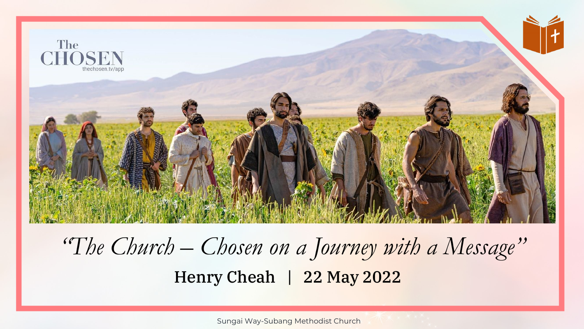

#### Henry Cheah | 22 May 2022 *"The Church – Chosen on a Journey with a Message"*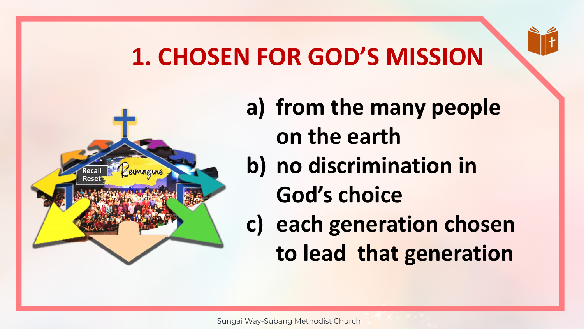# **1. CHOSEN FOR GOD'S MISSION**



- **a) from the many people on the earth**
- **b) no discrimination in** 
	- **God's choice**
- **c) each generation chosen to lead that generation**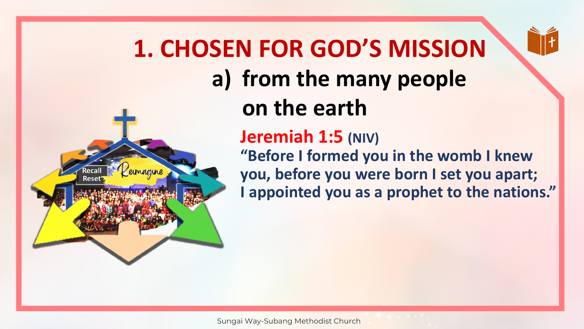# **a) from the many people on the earth 1. CHOSEN FOR GOD'S MISSION**

#### **Jeremiah 1:5 (NIV)**

Rese

**"Before I formed you in the womb I knew you, before you were born I set you apart; I appointed you as a prophet to the nations."**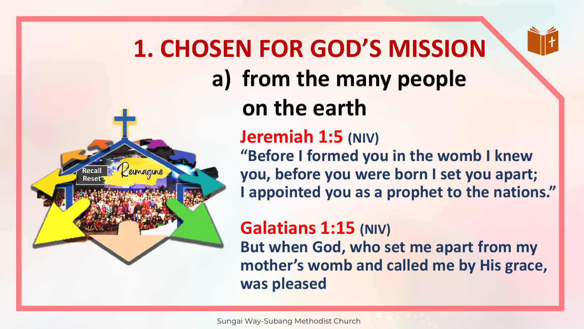# **a) from the many people on the earth 1. CHOSEN FOR GOD'S MISSION**

#### **Jeremiah 1:5 (NIV)**

Res

**"Before I formed you in the womb I knew you, before you were born I set you apart; I appointed you as a prophet to the nations."**

#### **Galatians 1:15 (NIV) But when God, who set me apart from my mother's womb and called me by His grace, was pleased**

Sungai Way-Subang Methodist Church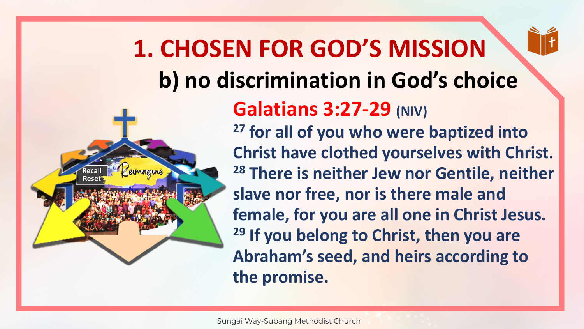

# **b) no discrimination in God's choice 1. CHOSEN FOR GOD'S MISSION**



#### **Galatians 3:27-29 (NIV)**

**<sup>27</sup> for all of you who were baptized into Christ have clothed yourselves with Christ. <sup>28</sup> There is neither Jew nor Gentile, neither slave nor free, nor is there male and female, for you are all one in Christ Jesus. <sup>29</sup> If you belong to Christ, then you are Abraham's seed, and heirs according to the promise.**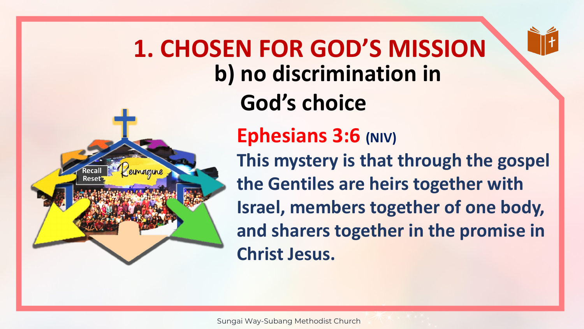

Rese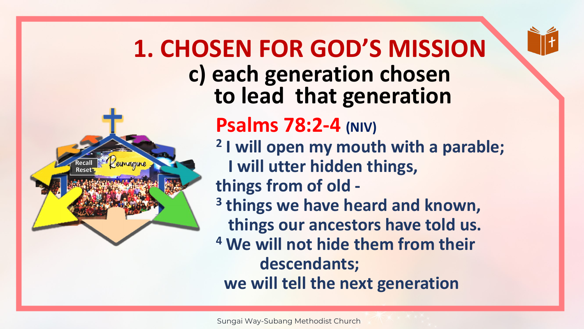

**c) each generation chosen to lead that generation 1. CHOSEN FOR GOD'S MISSION**

#### **Psalms 78:2-4 (NIV)**

- **2 I will open my mouth with a parable; I will utter hidden things, things from of old -**
- **3 things we have heard and known, things our ancestors have told us.**
- **<sup>4</sup> We will not hide them from their descendants;**

**we will tell the next generation**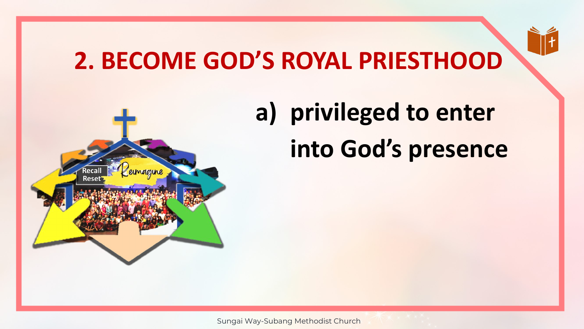

# **2. BECOME GOD'S ROYAL PRIESTHOOD**



# **a) privileged to enter into God's presence**

Sungai Way-Subang Methodist Church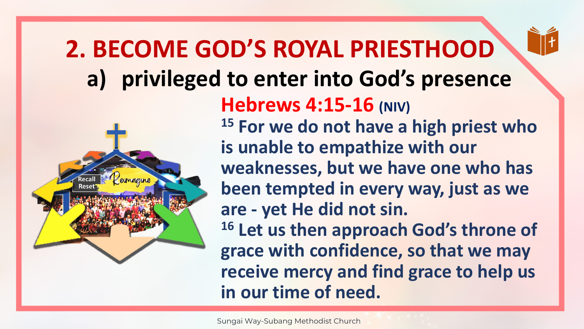# **a) privileged to enter into God's presence 2. BECOME GOD'S ROYAL PRIESTHOOD**



**Hebrews 4:15-16 (NIV) <sup>15</sup> For we do not have a high priest who is unable to empathize with our weaknesses, but we have one who has been tempted in every way, just as we are - yet He did not sin. <sup>16</sup> Let us then approach God's throne of grace with confidence, so that we may receive mercy and find grace to help us in our time of need.**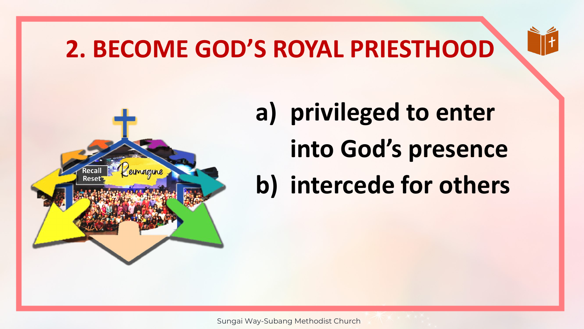# **2. BECOME GOD'S ROYAL PRIESTHOOD**





**a) privileged to enter into God's presence b) intercede for others**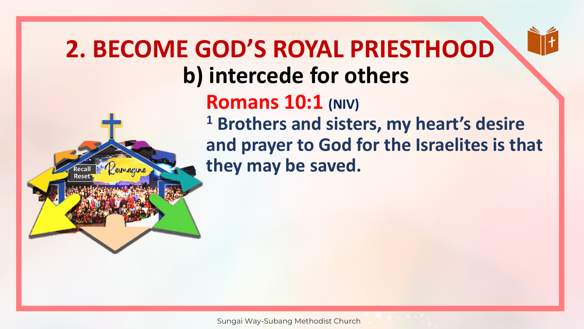#### **b) intercede for others Romans 10:1 (NIV) <sup>1</sup> Brothers and sisters, my heart's desire and prayer to God for the Israelites is that they may be saved. 2. BECOME GOD'S ROYAL PRIESTHOOD**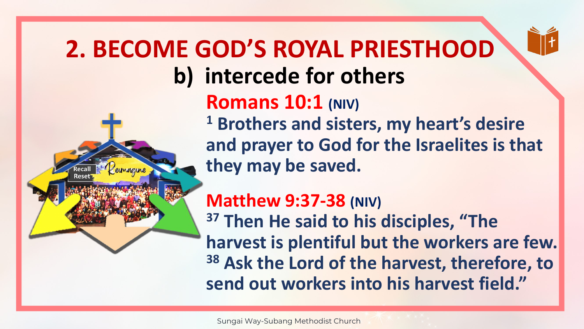#### **b) intercede for others Romans 10:1 (NIV) <sup>1</sup> Brothers and sisters, my heart's desire and prayer to God for the Israelites is that they may be saved. Matthew 9:37-38 (NIV) 2. BECOME GOD'S ROYAL PRIESTHOOD**

**<sup>37</sup> Then He said to his disciples, "The harvest is plentiful but the workers are few. <sup>38</sup> Ask the Lord of the harvest, therefore, to send out workers into his harvest field."**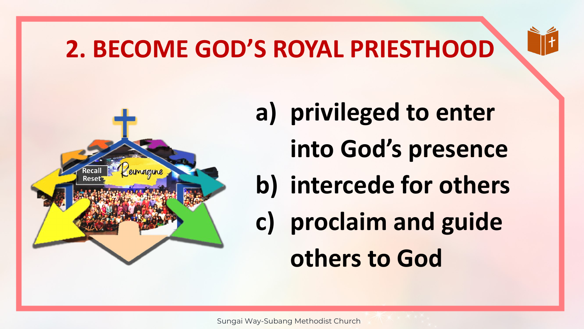# **2. BECOME GOD'S ROYAL PRIESTHOOD**





- **a) privileged to enter** 
	- **into God's presence**
- **b) intercede for others**
- **c) proclaim and guide others to God**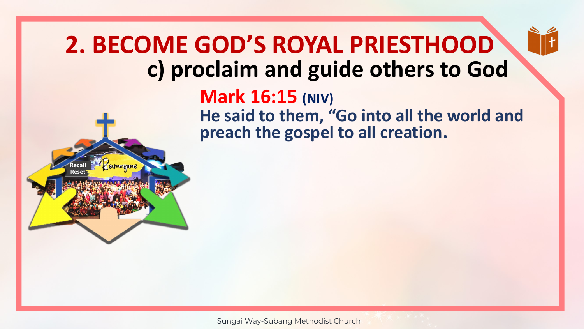#### **c) proclaim and guide others to God 2. BECOME GOD'S ROYAL PRIESTHOOD**





#### **Mark 16:15 (NIV)**

**He said to them, "Go into all the world and preach the gospel to all creation.**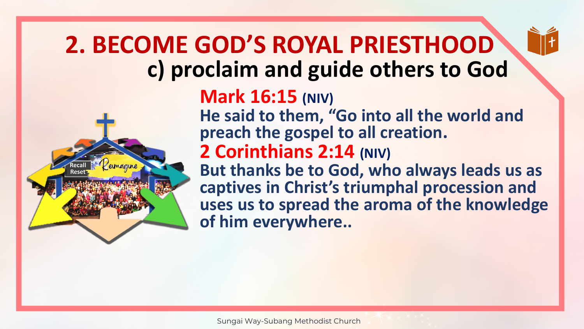#### **c) proclaim and guide others to God 2. BECOME GOD'S ROYAL PRIESTHOOD**





#### **Mark 16:15 (NIV)**

**He said to them, "Go into all the world and preach the gospel to all creation.**

#### **2 Corinthians 2:14 (NIV)**

**But thanks be to God, who always leads us as captives in Christ's triumphal procession and uses us to spread the aroma of the knowledge of him everywhere..**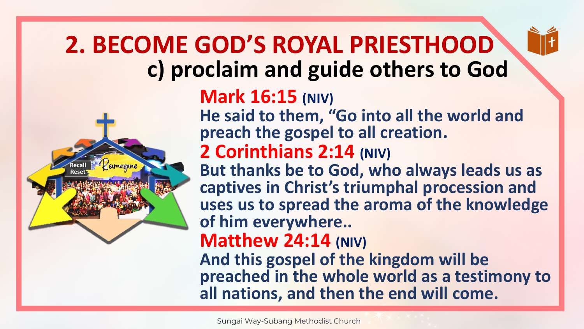#### **c) proclaim and guide others to God 2. BECOME GOD'S ROYAL PRIESTHOOD**





#### **Mark 16:15 (NIV)**

**He said to them, "Go into all the world and preach the gospel to all creation.**

#### **2 Corinthians 2:14 (NIV)**

**But thanks be to God, who always leads us as captives in Christ's triumphal procession and uses us to spread the aroma of the knowledge of him everywhere..** 

#### **Matthew 24:14 (NIV)**

**And this gospel of the kingdom will be preached in the whole world as a testimony to all nations, and then the end will come.**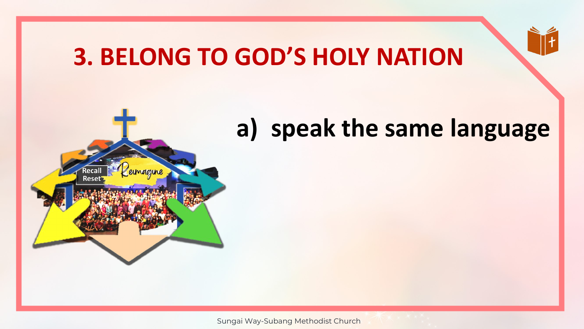#### **3. BELONG TO GOD'S HOLY NATION**

#### **a) speak the same language**



Sungai Way-Subang Methodist Church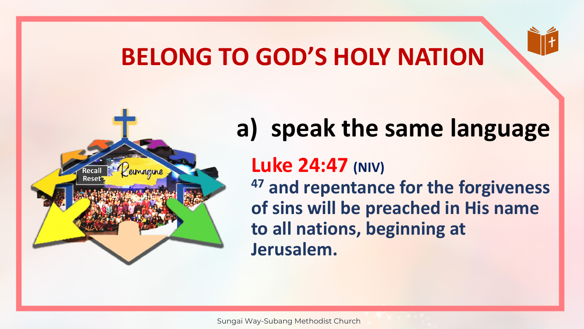## **BELONG TO GOD'S HOLY NATION**



# Rese

#### **a) speak the same language**

#### **Luke 24:47 (NIV)**

**<sup>47</sup> and repentance for the forgiveness of sins will be preached in His name to all nations, beginning at Jerusalem.**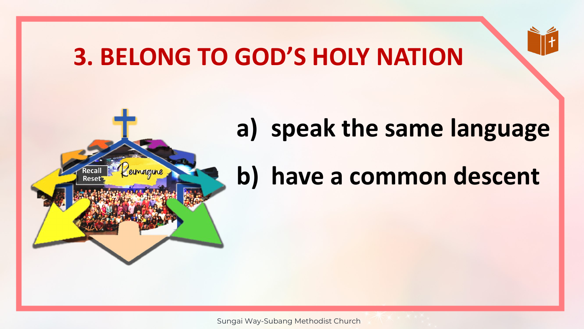#### **3. BELONG TO GOD'S HOLY NATION**

**Rese** 

# **a) speak the same language**

## **b) have a common descent**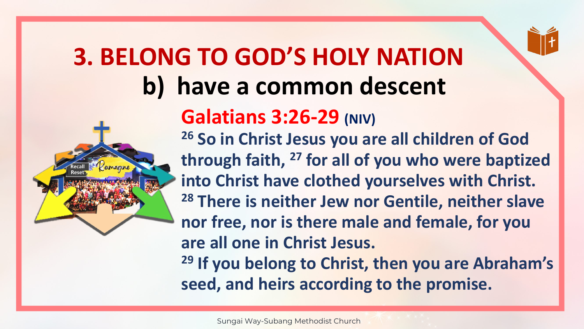# **b) have a common descent 3. BELONG TO GOD'S HOLY NATION**



#### **Galatians 3:26-29 (NIV)**

**<sup>26</sup> So in Christ Jesus you are all children of God through faith, <sup>27</sup> for all of you who were baptized into Christ have clothed yourselves with Christ. <sup>28</sup> There is neither Jew nor Gentile, neither slave nor free, nor is there male and female, for you are all one in Christ Jesus.** 

**<sup>29</sup> If you belong to Christ, then you are Abraham's seed, and heirs according to the promise.**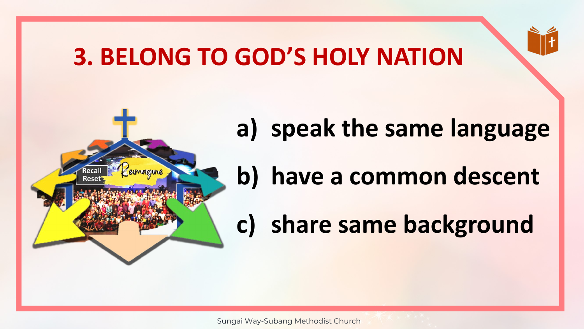#### **3. BELONG TO GOD'S HOLY NATION**



# **a) speak the same language**

## **b) have a common descent**

# **c) share same background**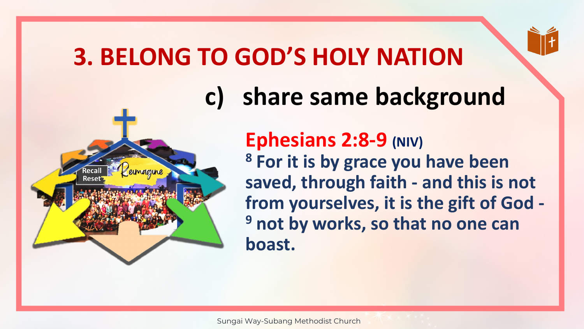## **3. BELONG TO GOD'S HOLY NATION**

Rese

# **c) share same background**

**Ephesians 2:8-9 (NIV) <sup>8</sup> For it is by grace you have been saved, through faith - and this is not from yourselves, it is the gift of God - <sup>9</sup> not by works, so that no one can boast.**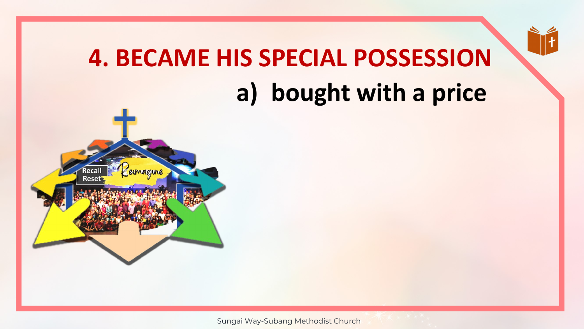# **a) bought with a price 4. BECAME HIS SPECIAL POSSESSION**

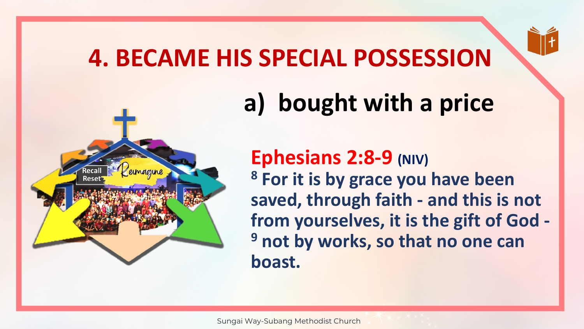#### **4. BECAME HIS SPECIAL POSSESSION**



# **a) bought with a price**

**Ephesians 2:8-9 (NIV) <sup>8</sup> For it is by grace you have been saved, through faith - and this is not from yourselves, it is the gift of God - <sup>9</sup> not by works, so that no one can boast.**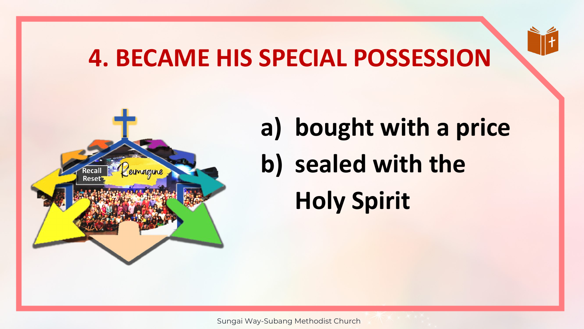#### **4. BECAME HIS SPECIAL POSSESSION**



# **a) bought with a price b) sealed with the Holy Spirit**

Sungai Way-Subang Methodist Church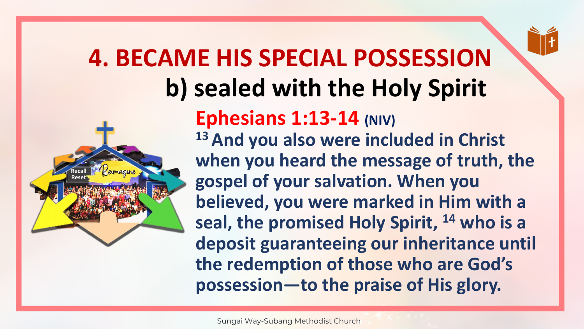# **b) sealed with the Holy Spirit 4. BECAME HIS SPECIAL POSSESSION**



**Ephesians 1:13-14 (NIV) <sup>13</sup>And you also were included in Christ when you heard the message of truth, the gospel of your salvation. When you believed, you were marked in Him with a seal, the promised Holy Spirit, <sup>14</sup> who is a deposit guaranteeing our inheritance until the redemption of those who are God's possession—to the praise of His glory.**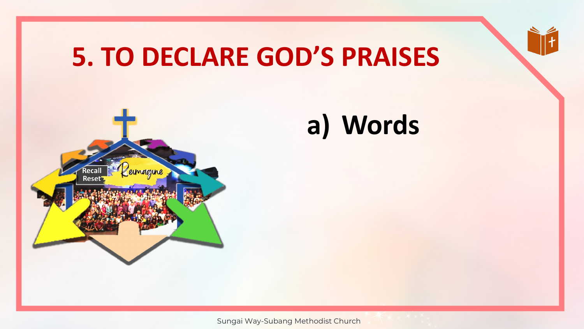# **5. TO DECLARE GOD'S PRAISES**



# **a) Words**

Sungai Way-Subang Methodist Church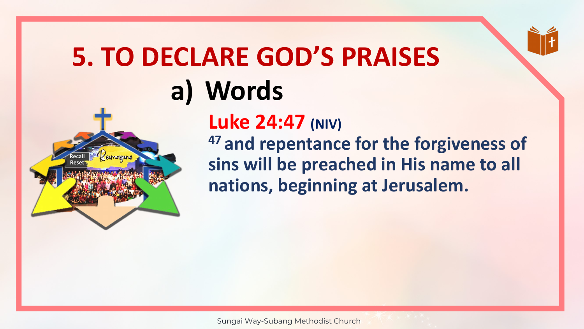# **5. TO DECLARE GOD'S PRAISES a) Words**



**Luke 24:47 (NIV) <sup>47</sup>and repentance for the forgiveness of sins will be preached in His name to all nations, beginning at Jerusalem.**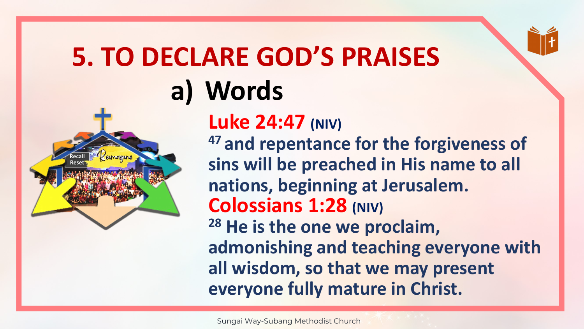# **5. TO DECLARE GOD'S PRAISES a) Words**



**Luke 24:47 (NIV) <sup>47</sup>and repentance for the forgiveness of sins will be preached in His name to all nations, beginning at Jerusalem. Colossians 1:28 (NIV) <sup>28</sup> He is the one we proclaim, admonishing and teaching everyone with all wisdom, so that we may present everyone fully mature in Christ.**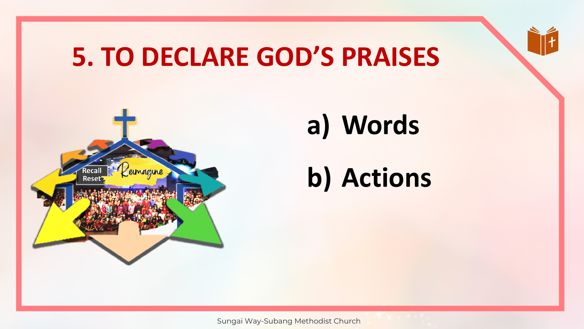# **5. TO DECLARE GOD'S PRAISES**



# **a) Words**

# **b) Actions**

Sungai Way-Subang Methodist Church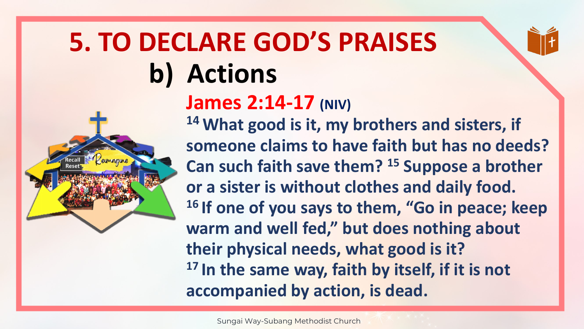

#### **James 2:14-17 (NIV)**

**<sup>14</sup>What good is it, my brothers and sisters, if someone claims to have faith but has no deeds? Can such faith save them? <sup>15</sup> Suppose a brother or a sister is without clothes and daily food. <sup>16</sup>If one of you says to them, "Go in peace; keep warm and well fed," but does nothing about their physical needs, what good is it? <sup>17</sup>In the same way, faith by itself, if it is not accompanied by action, is dead.**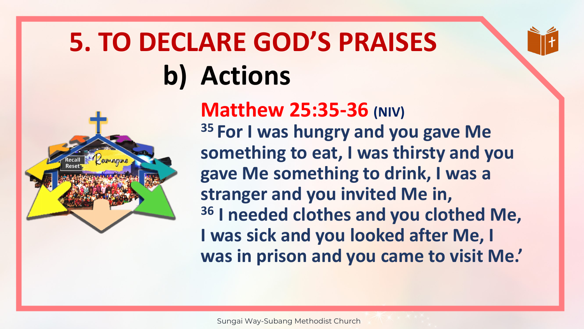

## **Matthew 25:35-36 (NIV)**

**<sup>35</sup>For I was hungry and you gave Me something to eat, I was thirsty and you gave Me something to drink, I was a stranger and you invited Me in, <sup>36</sup> I needed clothes and you clothed Me, I was sick and you looked after Me, I was in prison and you came to visit Me.'**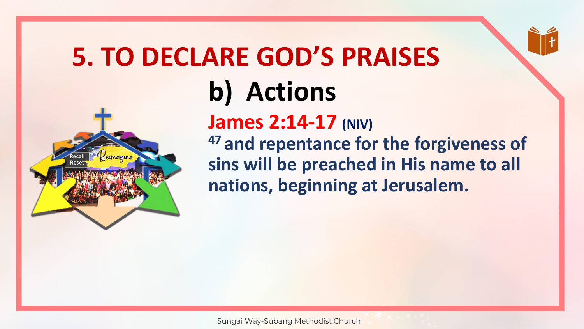

**James 2:14-17 (NIV) <sup>47</sup>and repentance for the forgiveness of sins will be preached in His name to all nations, beginning at Jerusalem.**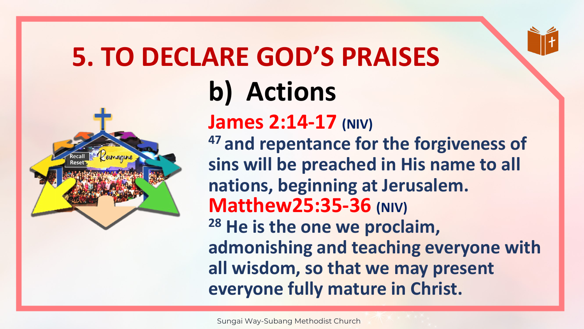

**James 2:14-17 (NIV) <sup>47</sup>and repentance for the forgiveness of sins will be preached in His name to all nations, beginning at Jerusalem. Matthew25:35-36 (NIV) <sup>28</sup> He is the one we proclaim, admonishing and teaching everyone with all wisdom, so that we may present everyone fully mature in Christ.**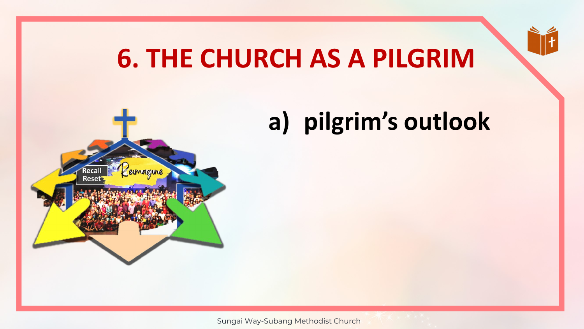#### **6. THE CHURCH AS A PILGRIM**

# **a) pilgrim's outlook**



Sungai Way-Subang Methodist Church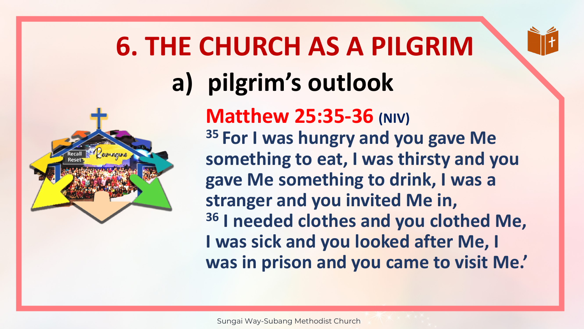

# **6. THE CHURCH AS A PILGRIM a) pilgrim's outlook Matthew 25:35-36 (NIV)**

**<sup>35</sup>For I was hungry and you gave Me something to eat, I was thirsty and you gave Me something to drink, I was a stranger and you invited Me in, <sup>36</sup> I needed clothes and you clothed Me, I was sick and you looked after Me, I was in prison and you came to visit Me.'**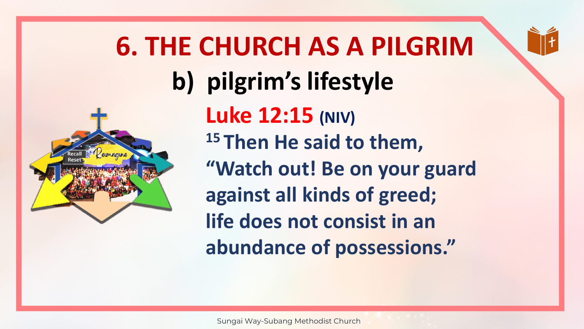

**6. THE CHURCH AS A PILGRIM b) pilgrim's lifestyle Luke 12:15 (NIV) <sup>15</sup>Then He said to them, "Watch out! Be on your guard against all kinds of greed; life does not consist in an abundance of possessions."**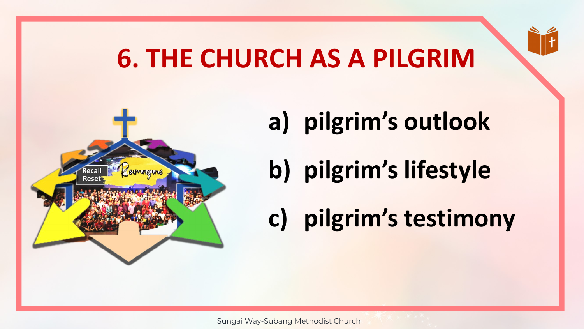# **6. THE CHURCH AS A PILGRIM**



- **a) pilgrim's outlook**
- **b) pilgrim's lifestyle**
- **c) pilgrim's testimony**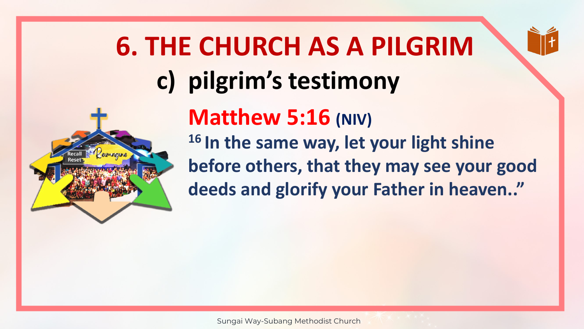

**6. THE CHURCH AS A PILGRIM c) pilgrim's testimony**

> **Matthew 5:16 (NIV) <sup>16</sup>In the same way, let your light shine before others, that they may see your good deeds and glorify your Father in heaven.."**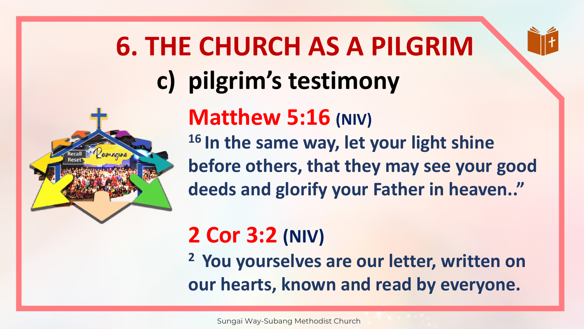

**6. THE CHURCH AS A PILGRIM c) pilgrim's testimony**

> **Matthew 5:16 (NIV) <sup>16</sup>In the same way, let your light shine before others, that they may see your good deeds and glorify your Father in heaven.."**

#### **2 Cor 3:2 (NIV)**

**<sup>2</sup>You yourselves are our letter, written on our hearts, known and read by everyone.**